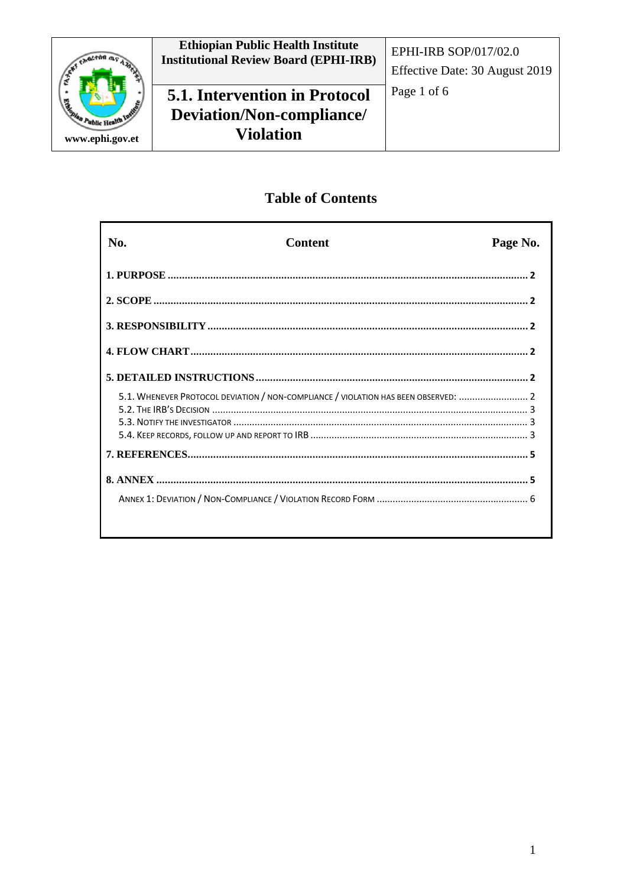

# **Table of Contents**

| No.                                                                                 | <b>Content</b> | Page No. |
|-------------------------------------------------------------------------------------|----------------|----------|
|                                                                                     |                |          |
|                                                                                     |                |          |
|                                                                                     |                |          |
|                                                                                     |                |          |
|                                                                                     |                |          |
| 5.1. WHENEVER PROTOCOL DEVIATION / NON-COMPLIANCE / VIOLATION HAS BEEN OBSERVED:  2 |                |          |
|                                                                                     |                |          |
|                                                                                     |                |          |
|                                                                                     |                |          |
|                                                                                     |                |          |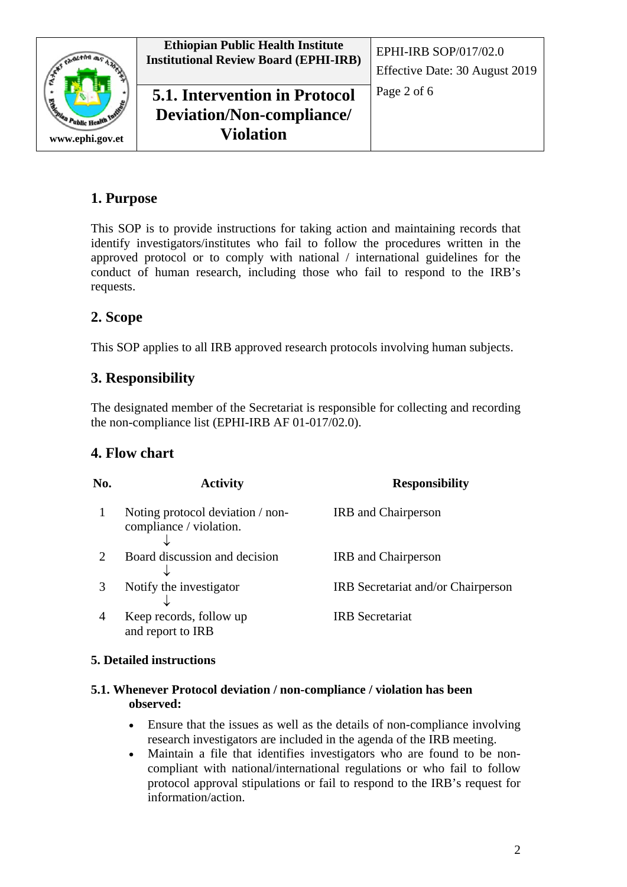

# <span id="page-1-0"></span>**1. Purpose**

This SOP is to provide instructions for taking action and maintaining records that identify investigators/institutes who fail to follow the procedures written in the approved protocol or to comply with national / international guidelines for the conduct of human research, including those who fail to respond to the IRB's requests.

# <span id="page-1-1"></span>**2. Scope**

This SOP applies to all IRB approved research protocols involving human subjects.

## <span id="page-1-2"></span>**3. Responsibility**

The designated member of the Secretariat is responsible for collecting and recording the non-compliance list (EPHI-IRB AF 01-017/02.0).

### <span id="page-1-3"></span>**4. Flow chart**

| No. | <b>Activity</b>                                             | <b>Responsibility</b>              |
|-----|-------------------------------------------------------------|------------------------------------|
|     | Noting protocol deviation / non-<br>compliance / violation. | <b>IRB</b> and Chairperson         |
|     | Board discussion and decision                               | <b>IRB</b> and Chairperson         |
|     | Notify the investigator                                     | IRB Secretariat and/or Chairperson |
| 4   | Keep records, follow up<br>and report to IRB                | <b>IRB</b> Secretariat             |

#### <span id="page-1-4"></span>**5. Detailed instructions**

#### <span id="page-1-5"></span>**5.1. Whenever Protocol deviation / non-compliance / violation has been observed:**

- Ensure that the issues as well as the details of non-compliance involving research investigators are included in the agenda of the IRB meeting.
- Maintain a file that identifies investigators who are found to be noncompliant with national/international regulations or who fail to follow protocol approval stipulations or fail to respond to the IRB's request for information/action.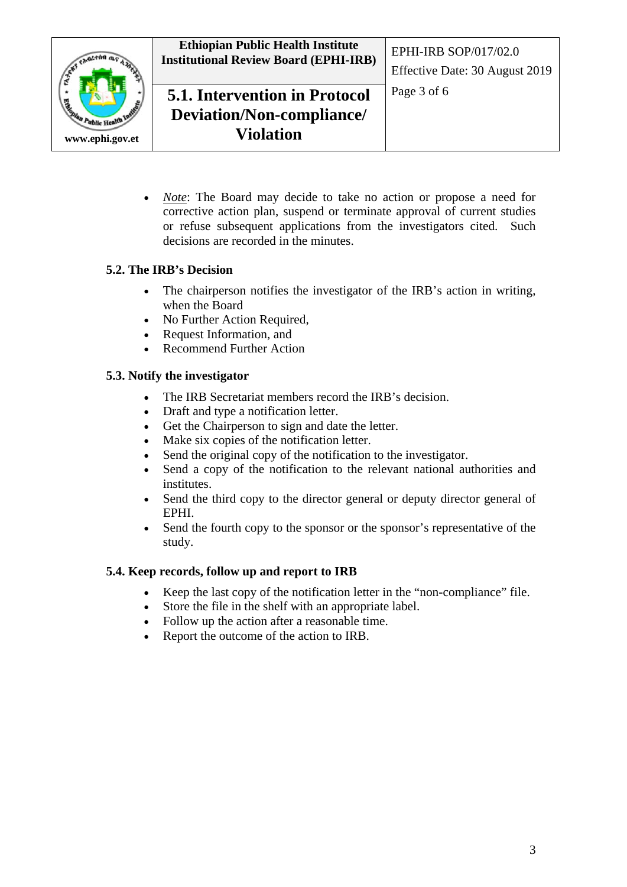

 $\sqrt{a^2 + \ln a}$ ublic Hea **www.ephi.gov.et**

• *Note*: The Board may decide to take no action or propose a need for corrective action plan, suspend or terminate approval of current studies or refuse subsequent applications from the investigators cited. Such decisions are recorded in the minutes.

## <span id="page-2-0"></span>**5.2. The IRB's Decision**

- The chairperson notifies the investigator of the IRB's action in writing, when the Board
- No Further Action Required,
- Request Information, and
- Recommend Further Action

### <span id="page-2-1"></span>**5.3. Notify the investigator**

- The IRB Secretariat members record the IRB's decision.
- Draft and type a notification letter.
- Get the Chairperson to sign and date the letter.
- Make six copies of the notification letter.
- Send the original copy of the notification to the investigator.
- Send a copy of the notification to the relevant national authorities and institutes.
- Send the third copy to the director general or deputy director general of EPHI.
- Send the fourth copy to the sponsor or the sponsor's representative of the study.

### <span id="page-2-2"></span>**5.4. Keep records, follow up and report to IRB**

- Keep the last copy of the notification letter in the "non-compliance" file.
- Store the file in the shelf with an appropriate label.
- Follow up the action after a reasonable time.
- Report the outcome of the action to IRB.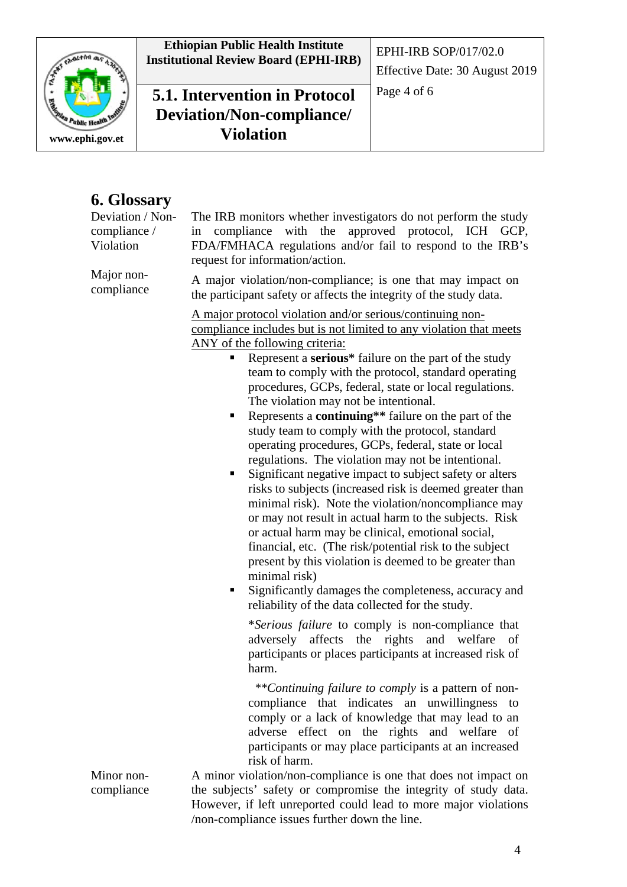**Ethiopian Public Health Institute Institutional Review Board (EPHI-IRB)** EPHI-IRB SOP/017/02.0

Expressor de la Caracción ublic Hes **www.ephi.gov.et**

**5.1. Intervention in Protocol** Page 4 of 6 **Deviation/Non-compliance/ Violation**

# **6. Glossary**

| Deviation / Non-<br>compliance /<br>Violation<br>Major non- | The IRB monitors whether investigators do not perform the study<br>in compliance with the<br>approved protocol, ICH GCP,<br>FDA/FMHACA regulations and/or fail to respond to the IRB's<br>request for information/action.                                                                                                                                                                                                                                                                                                                                                                                                                                                                                                                                                                                                                                                                                                                                                                                                                                                                                                                                                                                                                                                                                                                                                                                                                                                                                                                                                                                                                                                                                                                                                                    |  |  |
|-------------------------------------------------------------|----------------------------------------------------------------------------------------------------------------------------------------------------------------------------------------------------------------------------------------------------------------------------------------------------------------------------------------------------------------------------------------------------------------------------------------------------------------------------------------------------------------------------------------------------------------------------------------------------------------------------------------------------------------------------------------------------------------------------------------------------------------------------------------------------------------------------------------------------------------------------------------------------------------------------------------------------------------------------------------------------------------------------------------------------------------------------------------------------------------------------------------------------------------------------------------------------------------------------------------------------------------------------------------------------------------------------------------------------------------------------------------------------------------------------------------------------------------------------------------------------------------------------------------------------------------------------------------------------------------------------------------------------------------------------------------------------------------------------------------------------------------------------------------------|--|--|
| compliance                                                  | A major violation/non-compliance; is one that may impact on<br>the participant safety or affects the integrity of the study data.<br>A major protocol violation and/or serious/continuing non-<br>compliance includes but is not limited to any violation that meets<br>ANY of the following criteria:<br>Represent a serious* failure on the part of the study<br>п<br>team to comply with the protocol, standard operating<br>procedures, GCPs, federal, state or local regulations.<br>The violation may not be intentional.<br>Represents a <b>continuing</b> ** failure on the part of the<br>п<br>study team to comply with the protocol, standard<br>operating procedures, GCPs, federal, state or local<br>regulations. The violation may not be intentional.<br>Significant negative impact to subject safety or alters<br>ш<br>risks to subjects (increased risk is deemed greater than<br>minimal risk). Note the violation/noncompliance may<br>or may not result in actual harm to the subjects. Risk<br>or actual harm may be clinical, emotional social,<br>financial, etc. (The risk/potential risk to the subject)<br>present by this violation is deemed to be greater than<br>minimal risk)<br>Significantly damages the completeness, accuracy and<br>п<br>reliability of the data collected for the study.<br>*Serious failure to comply is non-compliance that<br>adversely affects the rights<br>and<br>welfare<br>of<br>participants or places participants at increased risk of<br>harm.<br>**Continuing failure to comply is a pattern of non-<br>compliance that indicates an unwillingness to<br>comply or a lack of knowledge that may lead to an<br>adverse effect on the rights and welfare<br>- of<br>participants or may place participants at an increased |  |  |
| Minor non-                                                  | risk of harm.<br>A minor violation/non-compliance is one that does not impact on                                                                                                                                                                                                                                                                                                                                                                                                                                                                                                                                                                                                                                                                                                                                                                                                                                                                                                                                                                                                                                                                                                                                                                                                                                                                                                                                                                                                                                                                                                                                                                                                                                                                                                             |  |  |
| compliance                                                  | the subjects' safety or compromise the integrity of study data.<br>However, if left unreported could lead to more major violations                                                                                                                                                                                                                                                                                                                                                                                                                                                                                                                                                                                                                                                                                                                                                                                                                                                                                                                                                                                                                                                                                                                                                                                                                                                                                                                                                                                                                                                                                                                                                                                                                                                           |  |  |

However, if left unreported could lead to more major violations /non-compliance issues further down the line.

Effective Date: 30 August 2019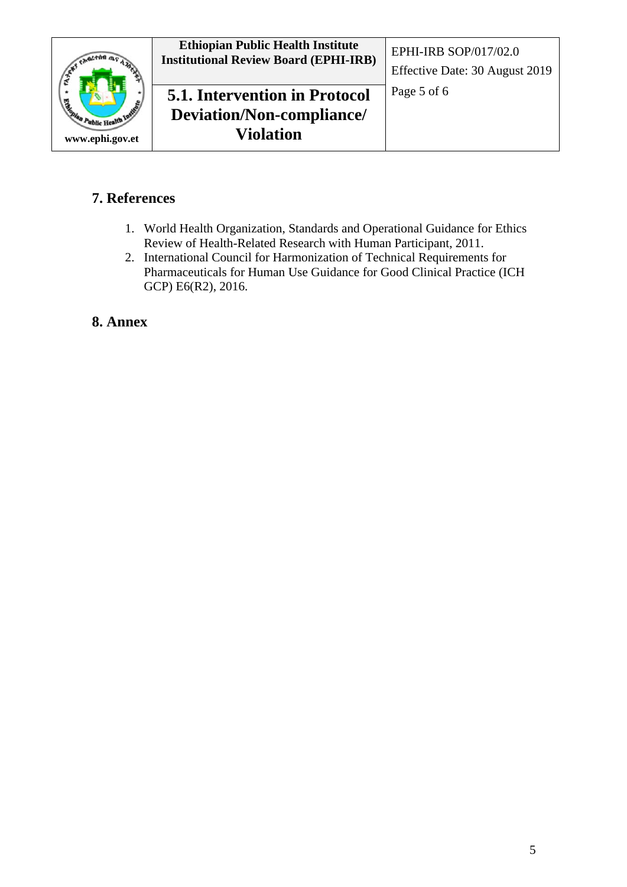

# <span id="page-4-0"></span>**7. References**

- 1. World Health Organization, Standards and Operational Guidance for Ethics Review of Health-Related Research with Human Participant, 2011.
- 2. International Council for Harmonization of Technical Requirements for Pharmaceuticals for Human Use Guidance for Good Clinical Practice (ICH GCP) E6(R2), 2016.

## <span id="page-4-1"></span>**8. Annex**